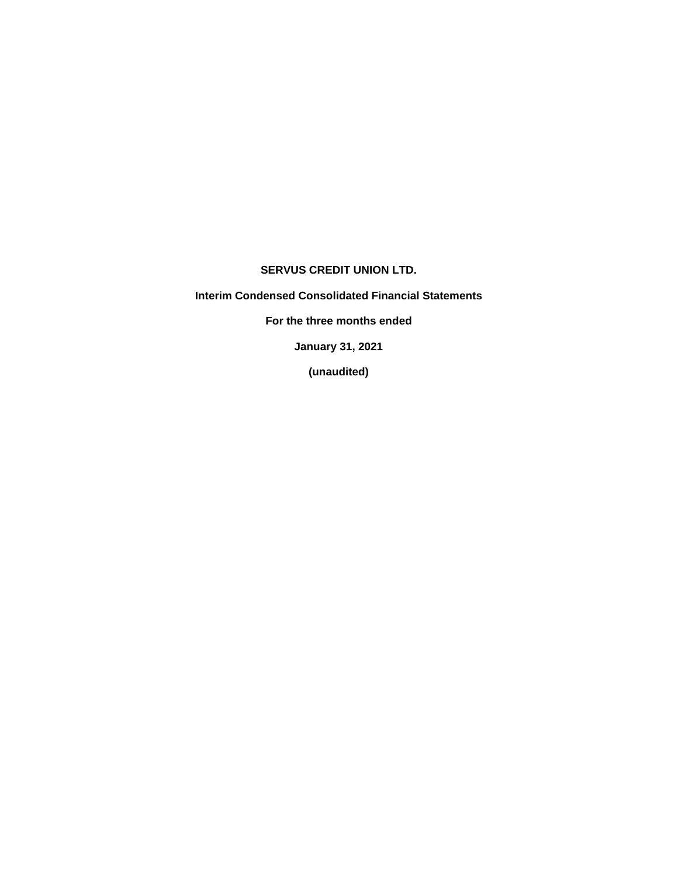### **SERVUS CREDIT UNION LTD.**

**Interim Condensed Consolidated Financial Statements**

**For the three months ended**

**January 31, 2021**

**(unaudited)**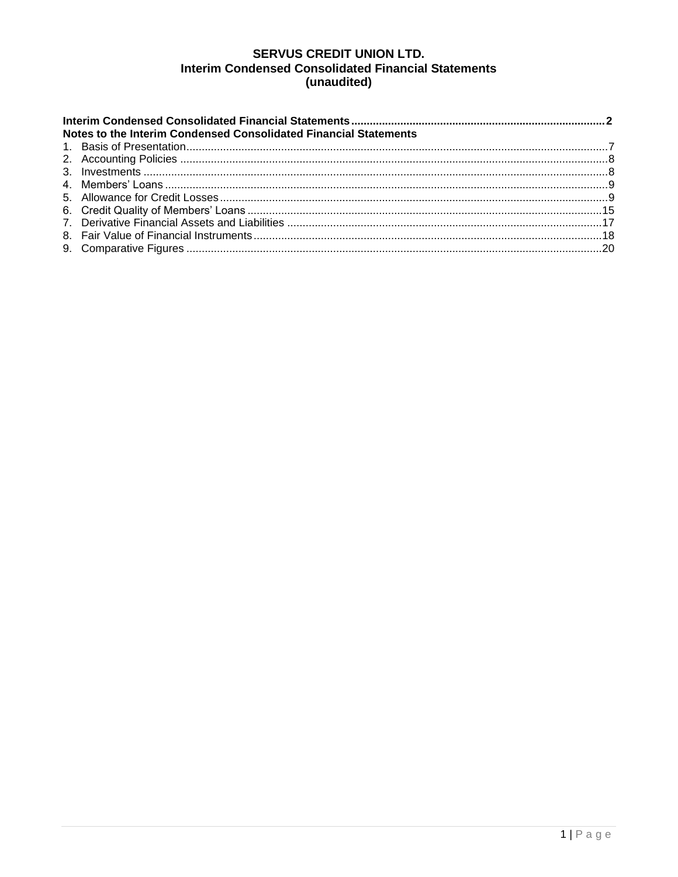## **SERVUS CREDIT UNION LTD. Interim Condensed Consolidated Financial Statements** (unaudited)

| Notes to the Interim Condensed Consolidated Financial Statements |  |  |  |  |  |  |  |  |
|------------------------------------------------------------------|--|--|--|--|--|--|--|--|
|                                                                  |  |  |  |  |  |  |  |  |
|                                                                  |  |  |  |  |  |  |  |  |
|                                                                  |  |  |  |  |  |  |  |  |
|                                                                  |  |  |  |  |  |  |  |  |
|                                                                  |  |  |  |  |  |  |  |  |
|                                                                  |  |  |  |  |  |  |  |  |
|                                                                  |  |  |  |  |  |  |  |  |
|                                                                  |  |  |  |  |  |  |  |  |
|                                                                  |  |  |  |  |  |  |  |  |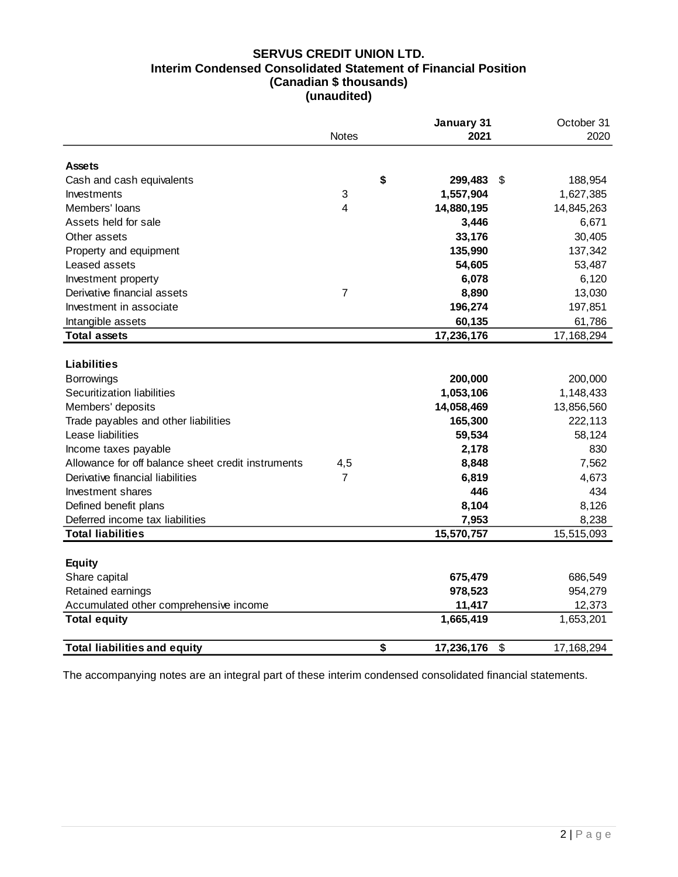## **SERVUS CREDIT UNION LTD. Interim Condensed Consolidated Statement of Financial Position (Canadian \$ thousands) (unaudited)**

|                                                                                                                                                                                                                                                                                                                                                                                 | <b>Notes</b>   | January 31<br>2021                                                                                                        | October 31<br>2020                                                                                                      |
|---------------------------------------------------------------------------------------------------------------------------------------------------------------------------------------------------------------------------------------------------------------------------------------------------------------------------------------------------------------------------------|----------------|---------------------------------------------------------------------------------------------------------------------------|-------------------------------------------------------------------------------------------------------------------------|
| <b>Assets</b>                                                                                                                                                                                                                                                                                                                                                                   |                |                                                                                                                           |                                                                                                                         |
| Cash and cash equivalents                                                                                                                                                                                                                                                                                                                                                       |                | \$<br>299,483                                                                                                             | \$<br>188,954                                                                                                           |
| Investments                                                                                                                                                                                                                                                                                                                                                                     | 3              | 1,557,904                                                                                                                 | 1,627,385                                                                                                               |
| Members' loans                                                                                                                                                                                                                                                                                                                                                                  | $\overline{4}$ | 14,880,195                                                                                                                | 14,845,263                                                                                                              |
| Assets held for sale                                                                                                                                                                                                                                                                                                                                                            |                | 3,446                                                                                                                     | 6,671                                                                                                                   |
| Other assets                                                                                                                                                                                                                                                                                                                                                                    |                | 33,176                                                                                                                    | 30,405                                                                                                                  |
| Property and equipment                                                                                                                                                                                                                                                                                                                                                          |                | 135,990                                                                                                                   | 137,342                                                                                                                 |
| Leased assets                                                                                                                                                                                                                                                                                                                                                                   |                | 54,605                                                                                                                    | 53,487                                                                                                                  |
| Investment property                                                                                                                                                                                                                                                                                                                                                             |                | 6,078                                                                                                                     | 6,120                                                                                                                   |
| Derivative financial assets                                                                                                                                                                                                                                                                                                                                                     | $\overline{7}$ | 8,890                                                                                                                     | 13,030                                                                                                                  |
| Investment in associate                                                                                                                                                                                                                                                                                                                                                         |                | 196,274                                                                                                                   | 197,851                                                                                                                 |
| Intangible assets                                                                                                                                                                                                                                                                                                                                                               |                | 60,135                                                                                                                    | 61,786                                                                                                                  |
| <b>Total assets</b>                                                                                                                                                                                                                                                                                                                                                             |                | 17,236,176                                                                                                                | 17,168,294                                                                                                              |
| <b>Liabilities</b><br>Borrowings<br>Securitization liabilities<br>Members' deposits<br>Trade payables and other liabilities<br>Lease liabilities<br>Income taxes payable<br>Allowance for off balance sheet credit instruments<br>Derivative financial liabilities<br>Investment shares<br>Defined benefit plans<br>Deferred income tax liabilities<br><b>Total liabilities</b> | 4,5<br>7       | 200,000<br>1,053,106<br>14,058,469<br>165,300<br>59,534<br>2,178<br>8,848<br>6,819<br>446<br>8,104<br>7,953<br>15,570,757 | 200,000<br>1,148,433<br>13,856,560<br>222,113<br>58,124<br>830<br>7,562<br>4,673<br>434<br>8,126<br>8,238<br>15,515,093 |
|                                                                                                                                                                                                                                                                                                                                                                                 |                |                                                                                                                           |                                                                                                                         |
| <b>Equity</b>                                                                                                                                                                                                                                                                                                                                                                   |                |                                                                                                                           |                                                                                                                         |
| Share capital                                                                                                                                                                                                                                                                                                                                                                   |                | 675,479                                                                                                                   | 686,549                                                                                                                 |
| Retained earnings                                                                                                                                                                                                                                                                                                                                                               |                | 978,523                                                                                                                   | 954,279                                                                                                                 |
| Accumulated other comprehensive income                                                                                                                                                                                                                                                                                                                                          |                | 11,417                                                                                                                    | 12,373                                                                                                                  |
| <b>Total equity</b>                                                                                                                                                                                                                                                                                                                                                             |                | 1,665,419                                                                                                                 | 1,653,201                                                                                                               |
| <b>Total liabilities and equity</b>                                                                                                                                                                                                                                                                                                                                             |                | \$<br>17,236,176                                                                                                          | \$<br>17, 168, 294                                                                                                      |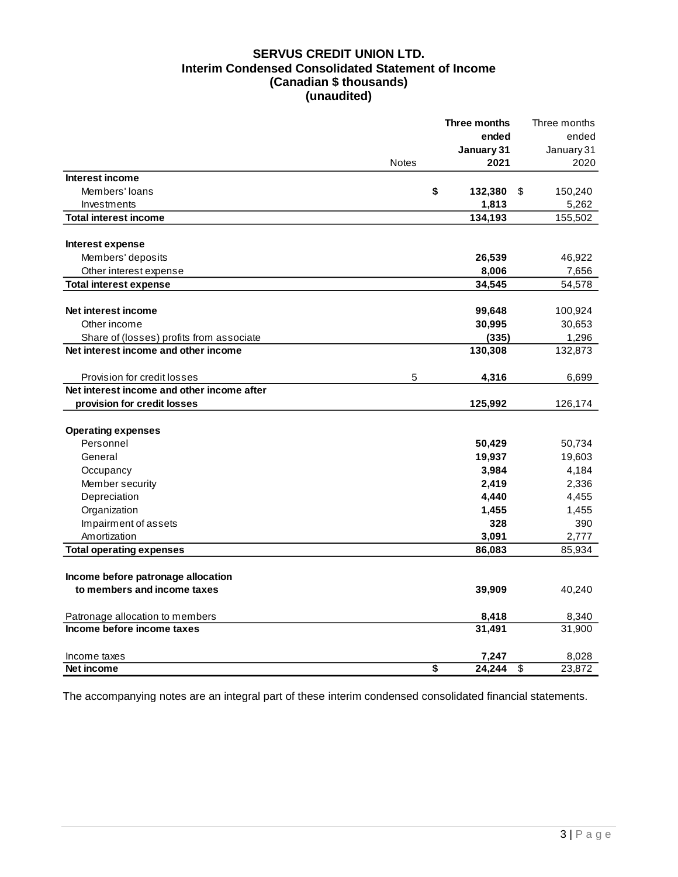## **SERVUS CREDIT UNION LTD. Interim Condensed Consolidated Statement of Income (Canadian \$ thousands) (unaudited)**

|                                            |              | Three months | Three months                      |
|--------------------------------------------|--------------|--------------|-----------------------------------|
|                                            |              | ended        | ended                             |
|                                            |              | January 31   | January 31                        |
|                                            | <b>Notes</b> | 2021         | 2020                              |
| Interest income                            |              |              |                                   |
| Members' loans                             | \$           | 132,380      | \$<br>150,240                     |
| Investments                                |              | 1,813        | 5,262                             |
| <b>Total interest income</b>               |              | 134,193      | 155,502                           |
| Interest expense                           |              |              |                                   |
| Members' deposits                          |              | 26,539       | 46,922                            |
| Other interest expense                     |              | 8,006        | 7,656                             |
| <b>Total interest expense</b>              |              | 34,545       | 54,578                            |
| Net interest income                        |              | 99,648       | 100,924                           |
| Other income                               |              | 30,995       | 30,653                            |
| Share of (losses) profits from associate   |              | (335)        | 1,296                             |
| Net interest income and other income       |              | 130,308      | 132,873                           |
| Provision for credit losses                | 5            | 4,316        | 6,699                             |
| Net interest income and other income after |              |              |                                   |
| provision for credit losses                |              | 125,992      | 126,174                           |
| <b>Operating expenses</b>                  |              |              |                                   |
| Personnel                                  |              | 50,429       | 50,734                            |
| General                                    |              | 19,937       | 19,603                            |
| Occupancy                                  |              | 3,984        | 4,184                             |
| Member security                            |              | 2,419        | 2,336                             |
| Depreciation                               |              | 4,440        | 4,455                             |
| Organization                               |              | 1,455        | 1,455                             |
| Impairment of assets                       |              | 328          | 390                               |
| Amortization                               |              | 3,091        | 2,777                             |
| <b>Total operating expenses</b>            |              | 86,083       | 85,934                            |
| Income before patronage allocation         |              |              |                                   |
|                                            |              |              |                                   |
| to members and income taxes                |              | 39,909       | 40,240                            |
| Patronage allocation to members            |              | 8,418        | 8,340                             |
| Income before income taxes                 |              | 31,491       | 31,900                            |
| Income taxes                               |              | 7,247        | 8,028                             |
| Net income                                 | \$           | 24,244       | $\overline{\mathbf{s}}$<br>23,872 |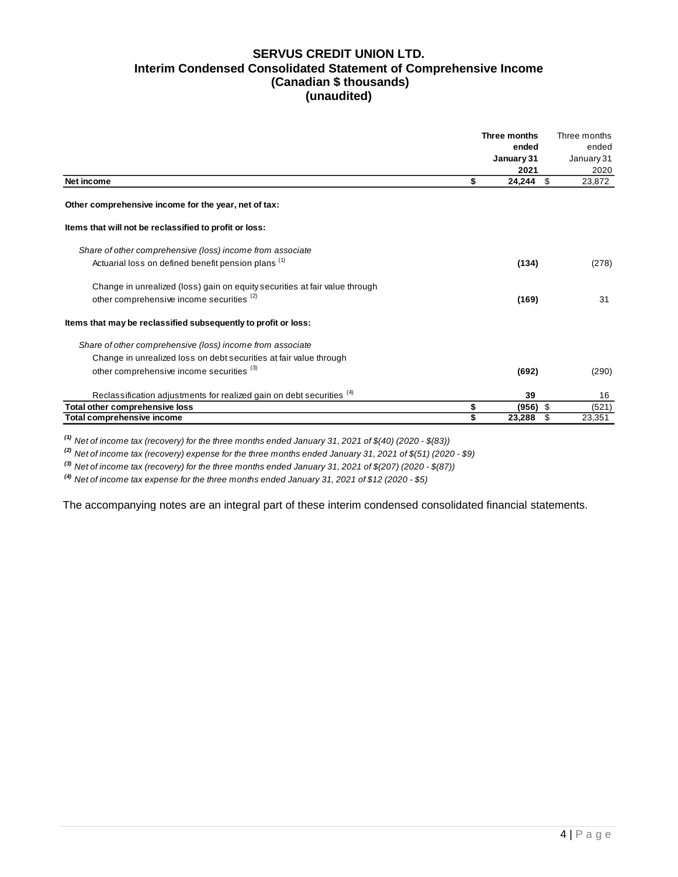### **SERVUS CREDIT UNION LTD. Interim Condensed Consolidated Statement of Comprehensive Income (Canadian \$ thousands) (unaudited)**

|                                                                                  | Three months     | Three months |
|----------------------------------------------------------------------------------|------------------|--------------|
|                                                                                  | ended            | ended        |
|                                                                                  | January 31       | January 31   |
|                                                                                  | 2021             | 2020         |
| Net income                                                                       | \$<br>24,244     | \$<br>23,872 |
| Other comprehensive income for the year, net of tax:                             |                  |              |
| Items that will not be reclassified to profit or loss:                           |                  |              |
| Share of other comprehensive (loss) income from associate                        |                  |              |
| Actuarial loss on defined benefit pension plans <sup>(1)</sup>                   | (134)            | (278)        |
| Change in unrealized (loss) gain on equity securities at fair value through      |                  |              |
| other comprehensive income securities <sup>(2)</sup>                             | (169)            | 31           |
| Items that may be reclassified subsequently to profit or loss:                   |                  |              |
| Share of other comprehensive (loss) income from associate                        |                  |              |
| Change in unrealized loss on debt securities at fair value through               |                  |              |
| other comprehensive income securities (3)                                        | (692)            | (290)        |
| Reclassification adjustments for realized gain on debt securities <sup>(4)</sup> | 39               | 16           |
| Total other comprehensive loss                                                   | \$<br>$(956)$ \$ | (521)        |
| <b>Total comprehensive income</b>                                                | \$<br>23,288     | \$<br>23,351 |

*(1) Net of income tax (recovery) for the three months ended January 31, 2021 of \$(40) (2020 - \$(83))*

*(2) Net of income tax (recovery) expense for the three months ended January 31, 2021 of \$(51) (2020 - \$9)*

*(3) Net of income tax (recovery) for the three months ended January 31, 2021 of \$(207) (2020 - \$(87))*

*(4) Net of income tax expense for the three months ended January 31, 2021 of \$12 (2020 - \$5)*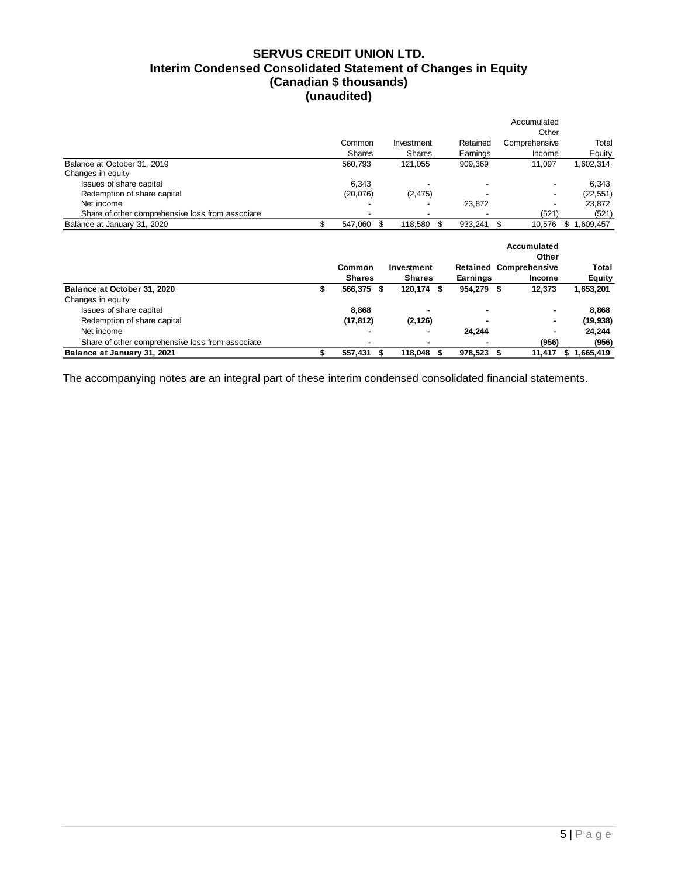## **SERVUS CREDIT UNION LTD. Interim Condensed Consolidated Statement of Changes in Equity (Canadian \$ thousands) (unaudited)**

|                                                  |               |                  |               | Accumulated                   |                 |
|--------------------------------------------------|---------------|------------------|---------------|-------------------------------|-----------------|
|                                                  |               |                  |               | Other                         |                 |
|                                                  | Common        | Investment       | Retained      | Comprehensive                 | Total           |
|                                                  | <b>Shares</b> | Shares           | Earnings      | Income                        | Equity          |
| Balance at October 31, 2019                      | 560,793       | 121,055          | 909,369       | 11,097                        | 1,602,314       |
| Changes in equity                                |               |                  |               |                               |                 |
| Issues of share capital                          | 6,343         |                  |               |                               | 6,343           |
| Redemption of share capital                      | (20, 076)     | (2, 475)         |               |                               | (22, 551)       |
| Net income                                       |               |                  | 23,872        |                               | 23,872          |
| Share of other comprehensive loss from associate |               |                  |               | (521)                         | (521)           |
| Balance at January 31, 2020                      | \$<br>547,060 | \$<br>118,580    | \$<br>933,241 | \$<br>10,576                  | 1,609,457<br>\$ |
|                                                  |               |                  |               |                               |                 |
|                                                  |               |                  |               | Accumulated<br>Other          |                 |
|                                                  | Common        | Investment       |               | <b>Retained Comprehensive</b> | Total           |
|                                                  | <b>Shares</b> | <b>Shares</b>    | Earnings      | Income                        | <b>Equity</b>   |
| Balance at October 31, 2020                      | \$<br>566,375 | \$<br>120,174 \$ | 954,279 \$    | 12,373                        | 1,653,201       |
| Changes in equity                                |               |                  |               |                               |                 |
| Issues of share capital                          | 8,868         |                  |               |                               | 8,868           |
| Redemption of share capital                      | (17, 812)     | (2, 126)         |               |                               | (19, 938)       |
| Net income                                       |               |                  | 24,244        |                               | 24,244          |
| Share of other comprehensive loss from associate |               |                  |               | (956)                         | (956)           |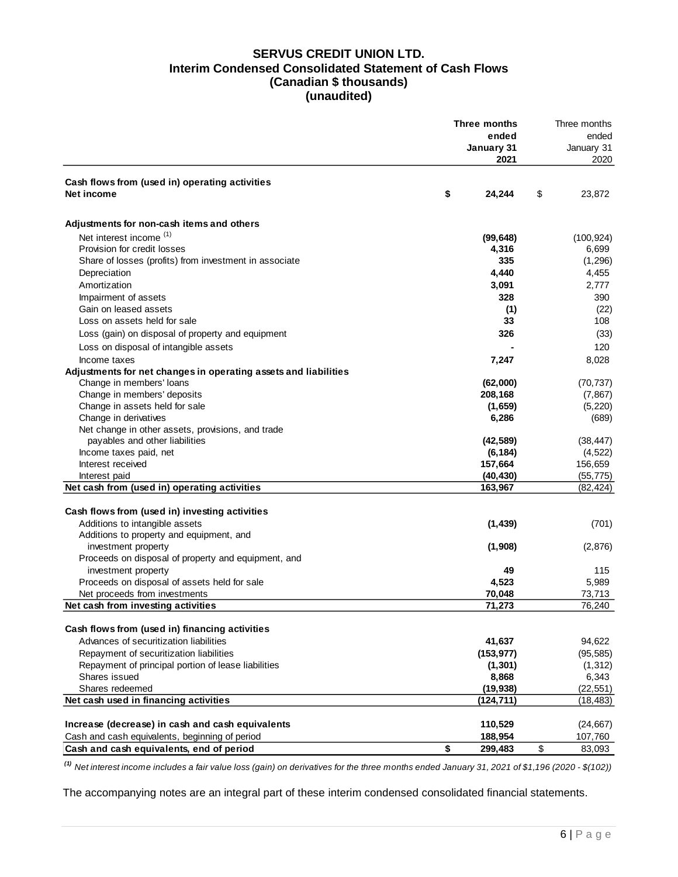### **SERVUS CREDIT UNION LTD. Interim Condensed Consolidated Statement of Cash Flows (Canadian \$ thousands) (unaudited)**

|                                                                 | Three months | Three months      |                   |
|-----------------------------------------------------------------|--------------|-------------------|-------------------|
|                                                                 |              | ended             | ended             |
|                                                                 |              | January 31        | January 31        |
|                                                                 |              | 2021              | 2020              |
| Cash flows from (used in) operating activities                  |              |                   |                   |
| Net income                                                      | \$           | 24,244            | \$<br>23,872      |
|                                                                 |              |                   |                   |
| Adjustments for non-cash items and others                       |              |                   |                   |
| Net interest income <sup>(1)</sup>                              |              | (99, 648)         | (100, 924)        |
| Provision for credit losses                                     |              | 4,316             | 6,699             |
| Share of losses (profits) from investment in associate          |              | 335               | (1, 296)          |
| Depreciation                                                    |              | 4,440             | 4,455             |
| Amortization                                                    |              | 3,091             | 2,777             |
| Impairment of assets                                            |              | 328               | 390               |
| Gain on leased assets                                           |              | (1)               | (22)              |
| Loss on assets held for sale                                    |              | 33                | 108               |
| Loss (gain) on disposal of property and equipment               |              | 326               | (33)              |
| Loss on disposal of intangible assets                           |              |                   | 120               |
| Income taxes                                                    |              | 7,247             | 8,028             |
| Adjustments for net changes in operating assets and liabilities |              |                   |                   |
| Change in members' loans                                        |              | (62,000)          | (70, 737)         |
| Change in members' deposits                                     |              | 208,168           | (7, 867)          |
| Change in assets held for sale                                  |              | (1,659)           | (5, 220)          |
| Change in derivatives                                           |              | 6,286             | (689)             |
| Net change in other assets, provisions, and trade               |              |                   |                   |
| payables and other liabilities                                  |              | (42, 589)         | (38, 447)         |
| Income taxes paid, net                                          |              | (6, 184)          | (4, 522)          |
| Interest received                                               |              | 157,664           | 156,659           |
| Interest paid                                                   |              | (40, 430)         | (55, 775)         |
| Net cash from (used in) operating activities                    |              | 163,967           | (82, 424)         |
|                                                                 |              |                   |                   |
| Cash flows from (used in) investing activities                  |              |                   |                   |
| Additions to intangible assets                                  |              | (1, 439)          | (701)             |
| Additions to property and equipment, and                        |              |                   |                   |
| investment property                                             |              | (1,908)           | (2,876)           |
| Proceeds on disposal of property and equipment, and             |              |                   |                   |
| investment property                                             |              | 49                | 115               |
| Proceeds on disposal of assets held for sale                    |              | 4,523             | 5,989             |
| Net proceeds from investments                                   |              | 70,048            | 73,713            |
| Net cash from investing activities                              |              | 71,273            | 76,240            |
| Cash flows from (used in) financing activities                  |              |                   |                   |
| Advances of securitization liabilities                          |              | 41,637            | 94,622            |
| Repayment of securitization liabilities                         |              | (153, 977)        |                   |
| Repayment of principal portion of lease liabilities             |              |                   | (95, 585)         |
| Shares issued                                                   |              | (1, 301)<br>8,868 | (1, 312)<br>6,343 |
| Shares redeemed                                                 |              | (19, 938)         | (22, 551)         |
| Net cash used in financing activities                           |              | (124, 711)        | (18, 483)         |
|                                                                 |              |                   |                   |
| Increase (decrease) in cash and cash equivalents                |              | 110,529           | (24, 667)         |
| Cash and cash equivalents, beginning of period                  |              | 188,954           | 107,760           |
| Cash and cash equivalents, end of period                        | \$           | 299,483           | \$<br>83,093      |
|                                                                 |              |                   |                   |

*(1) Net interest income includes a fair value loss (gain) on derivatives for the three months ended January 31, 2021 of \$1,196 (2020 - \$(102))*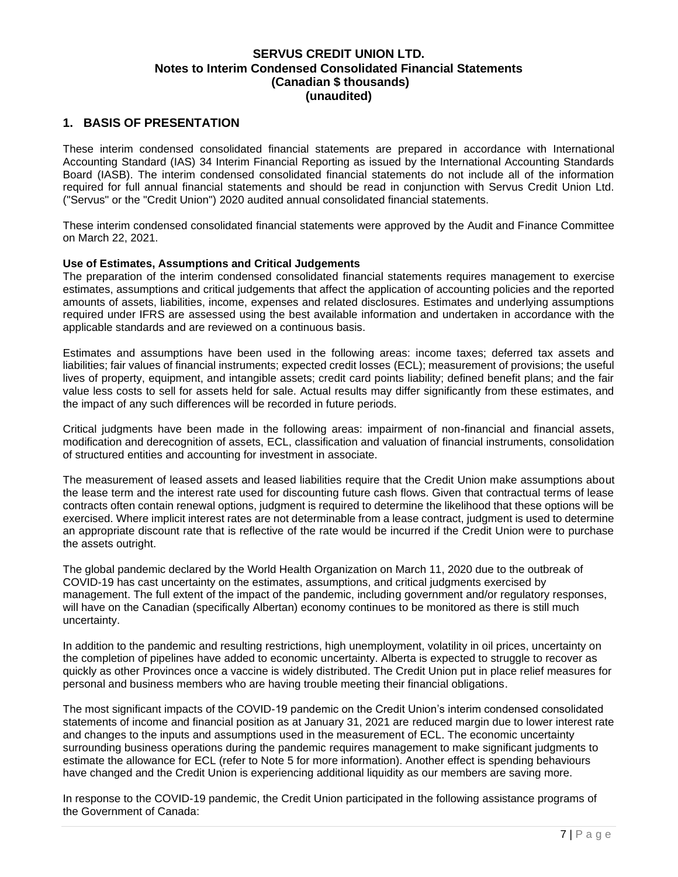### <span id="page-7-0"></span>**1. BASIS OF PRESENTATION**

These interim condensed consolidated financial statements are prepared in accordance with International Accounting Standard (IAS) 34 Interim Financial Reporting as issued by the International Accounting Standards Board (IASB). The interim condensed consolidated financial statements do not include all of the information required for full annual financial statements and should be read in conjunction with Servus Credit Union Ltd. ("Servus" or the "Credit Union") 2020 audited annual consolidated financial statements.

These interim condensed consolidated financial statements were approved by the Audit and Finance Committee on March 22, 2021.

### **Use of Estimates, Assumptions and Critical Judgements**

The preparation of the interim condensed consolidated financial statements requires management to exercise estimates, assumptions and critical judgements that affect the application of accounting policies and the reported amounts of assets, liabilities, income, expenses and related disclosures. Estimates and underlying assumptions required under IFRS are assessed using the best available information and undertaken in accordance with the applicable standards and are reviewed on a continuous basis.

Estimates and assumptions have been used in the following areas: income taxes; deferred tax assets and liabilities; fair values of financial instruments; expected credit losses (ECL); measurement of provisions; the useful lives of property, equipment, and intangible assets; credit card points liability; defined benefit plans; and the fair value less costs to sell for assets held for sale. Actual results may differ significantly from these estimates, and the impact of any such differences will be recorded in future periods.

Critical judgments have been made in the following areas: impairment of non-financial and financial assets, modification and derecognition of assets, ECL, classification and valuation of financial instruments, consolidation of structured entities and accounting for investment in associate.

The measurement of leased assets and leased liabilities require that the Credit Union make assumptions about the lease term and the interest rate used for discounting future cash flows. Given that contractual terms of lease contracts often contain renewal options, judgment is required to determine the likelihood that these options will be exercised. Where implicit interest rates are not determinable from a lease contract, judgment is used to determine an appropriate discount rate that is reflective of the rate would be incurred if the Credit Union were to purchase the assets outright.

The global pandemic declared by the World Health Organization on March 11, 2020 due to the outbreak of COVID-19 has cast uncertainty on the estimates, assumptions, and critical judgments exercised by management. The full extent of the impact of the pandemic, including government and/or regulatory responses, will have on the Canadian (specifically Albertan) economy continues to be monitored as there is still much uncertainty.

In addition to the pandemic and resulting restrictions, high unemployment, volatility in oil prices, uncertainty on the completion of pipelines have added to economic uncertainty. Alberta is expected to struggle to recover as quickly as other Provinces once a vaccine is widely distributed. The Credit Union put in place relief measures for personal and business members who are having trouble meeting their financial obligations.

The most significant impacts of the COVID-19 pandemic on the Credit Union's interim condensed consolidated statements of income and financial position as at January 31, 2021 are reduced margin due to lower interest rate and changes to the inputs and assumptions used in the measurement of ECL. The economic uncertainty surrounding business operations during the pandemic requires management to make significant judgments to estimate the allowance for ECL (refer to Note 5 for more information). Another effect is spending behaviours have changed and the Credit Union is experiencing additional liquidity as our members are saving more.

In response to the COVID-19 pandemic, the Credit Union participated in the following assistance programs of the Government of Canada: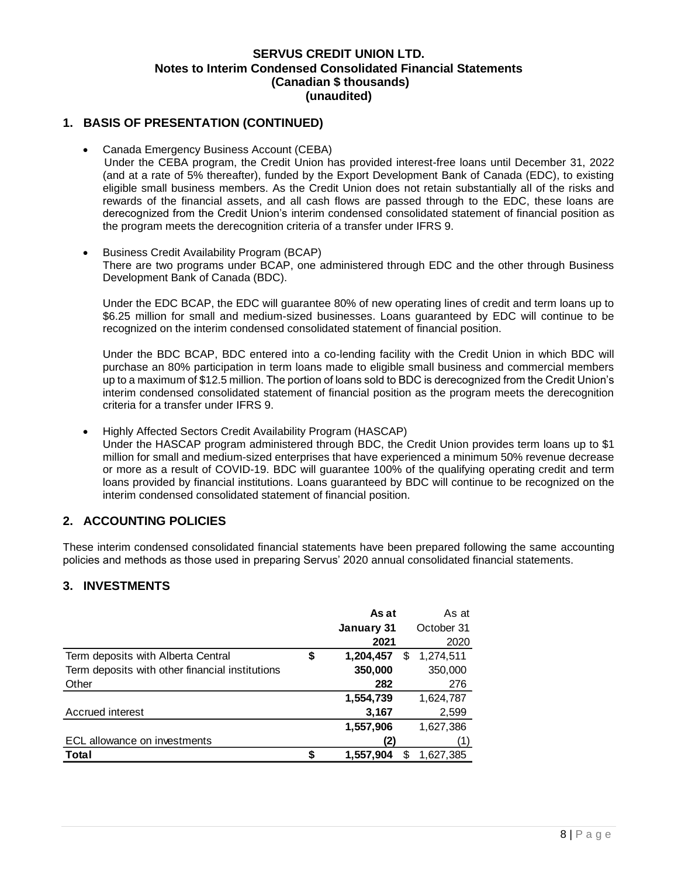### **1. BASIS OF PRESENTATION (CONTINUED)**

- Canada Emergency Business Account (CEBA)
	- Under the CEBA program, the Credit Union has provided interest-free loans until December 31, 2022 (and at a rate of 5% thereafter), funded by the Export Development Bank of Canada (EDC), to existing eligible small business members. As the Credit Union does not retain substantially all of the risks and rewards of the financial assets, and all cash flows are passed through to the EDC, these loans are derecognized from the Credit Union's interim condensed consolidated statement of financial position as the program meets the derecognition criteria of a transfer under IFRS 9.
- Business Credit Availability Program (BCAP) There are two programs under BCAP, one administered through EDC and the other through Business Development Bank of Canada (BDC).

Under the EDC BCAP, the EDC will guarantee 80% of new operating lines of credit and term loans up to \$6.25 million for small and medium-sized businesses. Loans guaranteed by EDC will continue to be recognized on the interim condensed consolidated statement of financial position.

Under the BDC BCAP, BDC entered into a co-lending facility with the Credit Union in which BDC will purchase an 80% participation in term loans made to eligible small business and commercial members up to a maximum of \$12.5 million. The portion of loans sold to BDC is derecognized from the Credit Union's interim condensed consolidated statement of financial position as the program meets the derecognition criteria for a transfer under IFRS 9.

• Highly Affected Sectors Credit Availability Program (HASCAP)

Under the HASCAP program administered through BDC, the Credit Union provides term loans up to \$1 million for small and medium-sized enterprises that have experienced a minimum 50% revenue decrease or more as a result of COVID-19. BDC will guarantee 100% of the qualifying operating credit and term loans provided by financial institutions. Loans guaranteed by BDC will continue to be recognized on the interim condensed consolidated statement of financial position.

# <span id="page-8-0"></span>**2. ACCOUNTING POLICIES**

These interim condensed consolidated financial statements have been prepared following the same accounting policies and methods as those used in preparing Servus' 2020 annual consolidated financial statements.

## <span id="page-8-1"></span>**3. INVESTMENTS**

|                                                 | As at                | As at      |
|-------------------------------------------------|----------------------|------------|
|                                                 | January 31           | October 31 |
|                                                 | 2021                 | 2020       |
| Term deposits with Alberta Central              | \$<br>1,204,457<br>S | 1,274,511  |
| Term deposits with other financial institutions | 350,000              | 350,000    |
| Other                                           | 282                  | 276        |
|                                                 | 1,554,739            | 1,624,787  |
| Accrued interest                                | 3,167                | 2,599      |
|                                                 | 1,557,906            | 1,627,386  |
| ECL allowance on investments                    | (2)                  |            |
| Total                                           | 1,557,904            | 1,627,385  |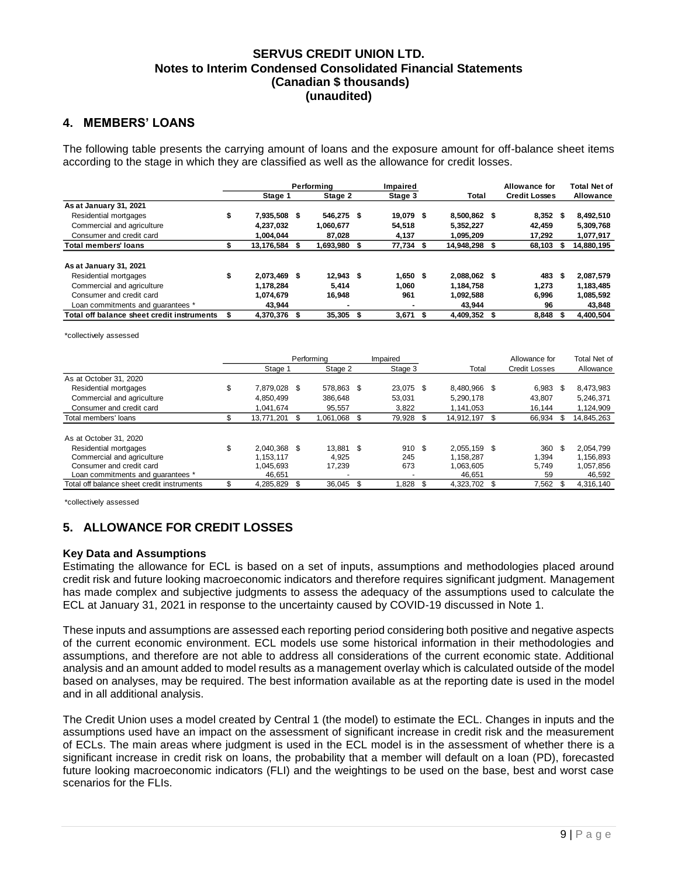### <span id="page-9-0"></span>**4. MEMBERS' LOANS**

The following table presents the carrying amount of loans and the exposure amount for off-balance sheet items according to the stage in which they are classified as well as the allowance for credit losses.

|                                            |    |               | Performina |             |   | Impaired  |              |     | Allowance for        | <b>Total Net of</b> |
|--------------------------------------------|----|---------------|------------|-------------|---|-----------|--------------|-----|----------------------|---------------------|
|                                            |    | Stage 1       |            | Stage 2     |   | Stage 3   | Total        |     | <b>Credit Losses</b> | <b>Allowance</b>    |
| As at January 31, 2021                     |    |               |            |             |   |           |              |     |                      |                     |
| Residential mortgages                      | \$ | 7.935.508 \$  |            | 546,275 \$  |   | 19,079 \$ | 8.500.862 \$ |     | $8,352$ \$           | 8,492,510           |
| Commercial and agriculture                 |    | 4.237.032     |            | 1.060.677   |   | 54.518    | 5.352.227    |     | 42.459               | 5,309,768           |
| Consumer and credit card                   |    | 1.004.044     |            | 87.028      |   | 4,137     | 1.095.209    |     | 17,292               | 1,077,917           |
| <b>Total members' loans</b>                | æ  | 13,176,584 \$ |            | 1,693,980   |   | 77,734 \$ | 14,948,298   | -56 | 68,103 \$            | 14,880,195          |
| As at January 31, 2021                     |    |               |            |             |   |           |              |     |                      |                     |
| Residential mortgages                      | \$ | 2.073.469 \$  |            | $12.943$ \$ |   | 1.650S    | 2.088.062 \$ |     | 483                  | \$<br>2,087,579     |
| Commercial and agriculture                 |    | 1.178.284     |            | 5.414       |   | 1.060     | 1.184.758    |     | 1,273                | 1,183,485           |
| Consumer and credit card                   |    | 1.074.679     |            | 16.948      |   | 961       | 1.092.588    |     | 6,996                | 1,085,592           |
| Loan commitments and quarantees *          |    | 43,944        |            |             |   | -         | 43,944       |     | 96                   | 43,848              |
| Total off balance sheet credit instruments |    | 4.370.376 \$  |            | 35.305      | S | 3,671     | 4,409,352 \$ |     | 8.848                | 4.400.504           |

\*collectively assessed

|                                            |                    | Performing |            |    | Impaired  |  |              |   | Allowance for        |     | Total Net of |
|--------------------------------------------|--------------------|------------|------------|----|-----------|--|--------------|---|----------------------|-----|--------------|
|                                            | Stage 1            |            | Stage 2    |    | Stage 3   |  | Total        |   | <b>Credit Losses</b> |     | Allowance    |
| As at October 31, 2020                     |                    |            |            |    |           |  |              |   |                      |     |              |
| Residential mortgages                      | \$<br>7.879.028 \$ |            | 578,863 \$ |    | 23,075 \$ |  | 8.480.966 \$ |   | 6,983                | -\$ | 8,473,983    |
| Commercial and agriculture                 | 4.850.499          |            | 386.648    |    | 53.031    |  | 5.290.178    |   | 43.807               |     | 5.246.371    |
| Consumer and credit card                   | 1.041.674          |            | 95,557     |    | 3,822     |  | 1.141.053    |   | 16.144               |     | 1,124,909    |
| Total members' loans                       | \$<br>13,771,201   |            | 1,061,068  |    | 79,928    |  | 14,912,197   |   | 66,934               | -S  | 14,845,263   |
|                                            |                    |            |            |    |           |  |              |   |                      |     |              |
| As at October 31, 2020                     |                    |            |            |    |           |  |              |   |                      |     |              |
| Residential mortgages                      | \$<br>2.040.368 \$ |            | 13.881 \$  |    | 910S      |  | 2.055.159 \$ |   | 360                  | -\$ | 2.054.799    |
| Commercial and agriculture                 | 1.153.117          |            | 4.925      |    | 245       |  | 1.158.287    |   | .394                 |     | 1.156.893    |
| Consumer and credit card                   | 1.045.693          |            | 17.239     |    | 673       |  | 1.063.605    |   | 5.749                |     | 1,057,856    |
| Loan commitments and quarantees *          | 46.651             |            |            |    | ۰         |  | 46.651       |   | 59                   |     | 46,592       |
| Total off balance sheet credit instruments | \$<br>4,285,829    |            | 36.045     | 55 | 1,828     |  | 4,323,702    | S | 7,562                |     | 4,316,140    |

\*collectively assessed

# <span id="page-9-1"></span>**5. ALLOWANCE FOR CREDIT LOSSES**

### **Key Data and Assumptions**

Estimating the allowance for ECL is based on a set of inputs, assumptions and methodologies placed around credit risk and future looking macroeconomic indicators and therefore requires significant judgment. Management has made complex and subjective judgments to assess the adequacy of the assumptions used to calculate the ECL at January 31, 2021 in response to the uncertainty caused by COVID-19 discussed in Note 1.

These inputs and assumptions are assessed each reporting period considering both positive and negative aspects of the current economic environment. ECL models use some historical information in their methodologies and assumptions, and therefore are not able to address all considerations of the current economic state. Additional analysis and an amount added to model results as a management overlay which is calculated outside of the model based on analyses, may be required. The best information available as at the reporting date is used in the model and in all additional analysis.

The Credit Union uses a model created by Central 1 (the model) to estimate the ECL. Changes in inputs and the assumptions used have an impact on the assessment of significant increase in credit risk and the measurement of ECLs. The main areas where judgment is used in the ECL model is in the assessment of whether there is a significant increase in credit risk on loans, the probability that a member will default on a loan (PD), forecasted future looking macroeconomic indicators (FLI) and the weightings to be used on the base, best and worst case scenarios for the FLIs.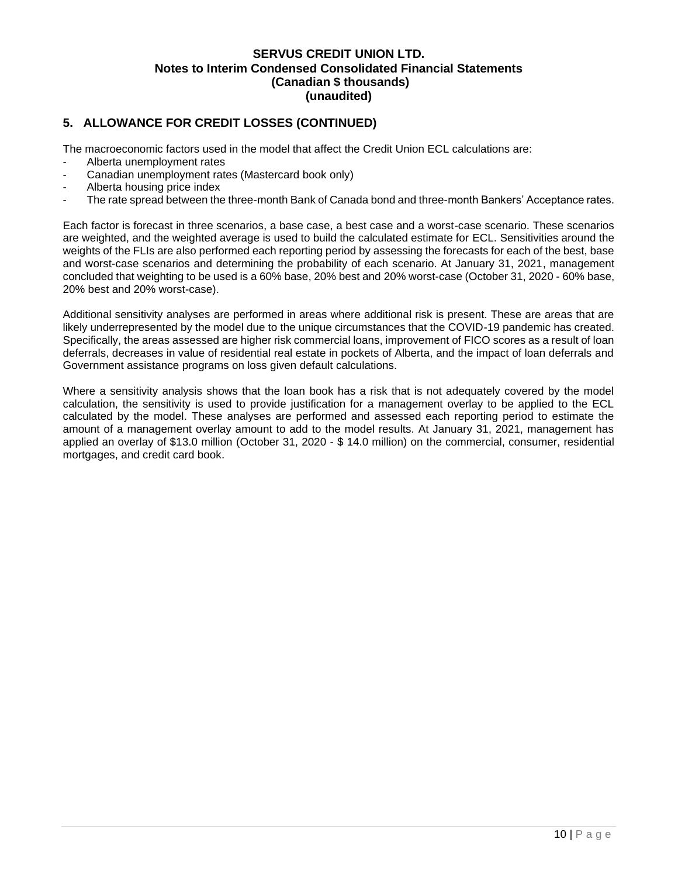## **5. ALLOWANCE FOR CREDIT LOSSES (CONTINUED)**

The macroeconomic factors used in the model that affect the Credit Union ECL calculations are:

- Alberta unemployment rates
- Canadian unemployment rates (Mastercard book only)
- Alberta housing price index
- The rate spread between the three-month Bank of Canada bond and three-month Bankers' Acceptance rates.

Each factor is forecast in three scenarios, a base case, a best case and a worst-case scenario. These scenarios are weighted, and the weighted average is used to build the calculated estimate for ECL. Sensitivities around the weights of the FLIs are also performed each reporting period by assessing the forecasts for each of the best, base and worst-case scenarios and determining the probability of each scenario. At January 31, 2021, management concluded that weighting to be used is a 60% base, 20% best and 20% worst-case (October 31, 2020 - 60% base, 20% best and 20% worst-case).

Additional sensitivity analyses are performed in areas where additional risk is present. These are areas that are likely underrepresented by the model due to the unique circumstances that the COVID-19 pandemic has created. Specifically, the areas assessed are higher risk commercial loans, improvement of FICO scores as a result of loan deferrals, decreases in value of residential real estate in pockets of Alberta, and the impact of loan deferrals and Government assistance programs on loss given default calculations.

Where a sensitivity analysis shows that the loan book has a risk that is not adequately covered by the model calculation, the sensitivity is used to provide justification for a management overlay to be applied to the ECL calculated by the model. These analyses are performed and assessed each reporting period to estimate the amount of a management overlay amount to add to the model results. At January 31, 2021, management has applied an overlay of \$13.0 million (October 31, 2020 - \$ 14.0 million) on the commercial, consumer, residential mortgages, and credit card book.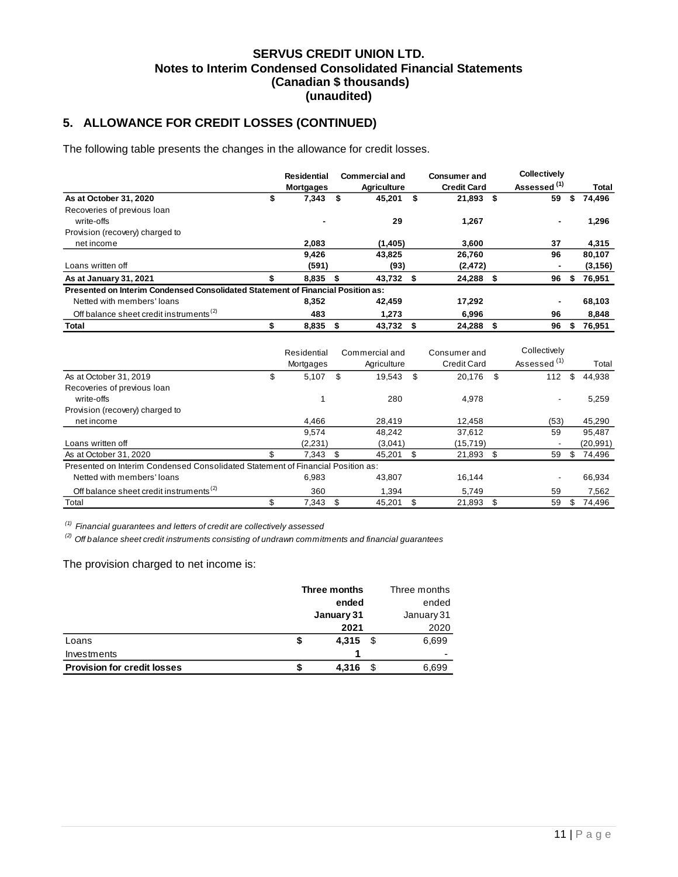# **5. ALLOWANCE FOR CREDIT LOSSES (CONTINUED)**

The following table presents the changes in the allowance for credit losses.

|                                                                                 | <b>Residential</b><br><b>Mortgages</b> |    | <b>Commercial and</b><br><b>Agriculture</b> |    | <b>Consumer and</b><br><b>Credit Card</b> |      | <b>Collectively</b><br>Assessed <sup>(1)</sup> |    | Total    |
|---------------------------------------------------------------------------------|----------------------------------------|----|---------------------------------------------|----|-------------------------------------------|------|------------------------------------------------|----|----------|
| As at October 31, 2020                                                          | \$<br>7,343                            | \$ | 45,201                                      | \$ | 21,893                                    | - \$ | 59                                             | S  | 74,496   |
| Recoveries of previous loan                                                     |                                        |    |                                             |    |                                           |      |                                                |    |          |
| write-offs                                                                      |                                        |    | 29                                          |    | 1,267                                     |      |                                                |    | 1,296    |
| Provision (recovery) charged to                                                 |                                        |    |                                             |    |                                           |      |                                                |    |          |
| net income                                                                      | 2.083                                  |    | (1, 405)                                    |    | 3.600                                     |      | 37                                             |    | 4,315    |
|                                                                                 | 9,426                                  |    | 43.825                                      |    | 26.760                                    |      | 96                                             |    | 80,107   |
| Loans written off                                                               | (591)                                  |    | (93)                                        |    | (2, 472)                                  |      |                                                |    | (3, 156) |
| As at January 31, 2021                                                          | 8,835                                  | S  | 43,732 \$                                   |    | 24,288                                    | 5    | 96                                             | \$ | 76,951   |
| Presented on Interim Condensed Consolidated Statement of Financial Position as: |                                        |    |                                             |    |                                           |      |                                                |    |          |
| Netted with members' loans                                                      | 8.352                                  |    | 42.459                                      |    | 17.292                                    |      |                                                |    | 68,103   |
| Off balance sheet credit instruments <sup>(2)</sup>                             | 483                                    |    | 1,273                                       |    | 6,996                                     |      | 96                                             |    | 8,848    |
| Total                                                                           | 8,835                                  |    | 43,732                                      | S  | 24,288                                    | S    | 96                                             | S  | 76,951   |

|                                                                                 |     | Residential<br>Mortgages | Commercial and<br>Agriculture | Consumer and<br><b>Credit Card</b> | Collectively<br>Assessed <sup>(1)</sup> |    | Total    |
|---------------------------------------------------------------------------------|-----|--------------------------|-------------------------------|------------------------------------|-----------------------------------------|----|----------|
| As at October 31, 2019                                                          | \$  | 5,107                    | \$<br>19,543                  | \$<br>20,176                       | \$<br>112                               | \$ | 44,938   |
| Recoveries of previous loan                                                     |     |                          |                               |                                    |                                         |    |          |
| write-offs                                                                      |     |                          | 280                           | 4,978                              | $\overline{\phantom{a}}$                |    | 5,259    |
| Provision (recovery) charged to                                                 |     |                          |                               |                                    |                                         |    |          |
| net income                                                                      |     | 4,466                    | 28,419                        | 12,458                             | (53)                                    |    | 45,290   |
|                                                                                 |     | 9.574                    | 48.242                        | 37.612                             | 59                                      |    | 95.487   |
| Loans written off                                                               |     | (2,231)                  | (3,041)                       | (15, 719)                          |                                         |    | (20,991) |
| As at October 31, 2020                                                          | \$. | 7,343                    | \$<br>45.201                  | \$<br>21,893                       | \$<br>59                                | S  | 74,496   |
| Presented on Interim Condensed Consolidated Statement of Financial Position as: |     |                          |                               |                                    |                                         |    |          |
| Netted with members' loans                                                      |     | 6.983                    | 43.807                        | 16.144                             |                                         |    | 66,934   |
| Off balance sheet credit instruments <sup>(2)</sup>                             |     | 360                      | 1.394                         | 5.749                              | 59                                      |    | 7,562    |
| Total                                                                           | \$  | 7,343                    | 45.201                        | \$<br>21,893                       | \$<br>59                                | \$ | 74.496   |

*(1) Financial guarantees and letters of credit are collectively assessed*

*(2) Off balance sheet credit instruments consisting of undrawn commitments and financial guarantees*

The provision charged to net income is:

|                                    |            | Three months  | Three months |
|------------------------------------|------------|---------------|--------------|
|                                    |            | ended         |              |
|                                    | January 31 | January 31    |              |
|                                    |            | 2021          | 2020         |
| Loans                              |            | 4,315<br>- \$ | 6,699        |
| Investments                        |            |               | -            |
| <b>Provision for credit losses</b> |            | 4,316         | 6,699        |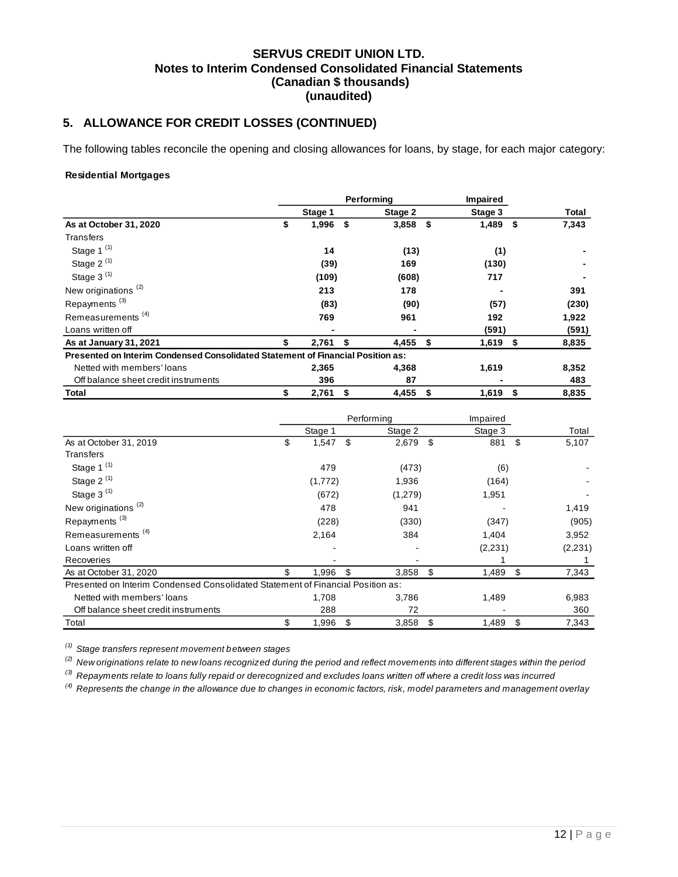# **5. ALLOWANCE FOR CREDIT LOSSES (CONTINUED)**

The following tables reconcile the opening and closing allowances for loans, by stage, for each major category:

### **Residential Mortgages**

|                                                                                 | Performina |         |      |         |      | Impaired   |      |       |
|---------------------------------------------------------------------------------|------------|---------|------|---------|------|------------|------|-------|
|                                                                                 |            | Stage 1 |      | Stage 2 |      | Stage 3    |      | Total |
| As at October 31, 2020                                                          | \$         | 1,996   | - \$ | 3,858   | - \$ | 1,489      | - \$ | 7,343 |
| Transfers                                                                       |            |         |      |         |      |            |      |       |
| Stage 1 $(1)$                                                                   |            | 14      |      | (13)    |      | (1)        |      |       |
| Stage $2^{(1)}$                                                                 |            | (39)    |      | 169     |      | (130)      |      |       |
| Stage $3^{(1)}$                                                                 |            | (109)   |      | (608)   |      | 717        |      |       |
| New originations <sup>(2)</sup>                                                 |            | 213     |      | 178     |      |            |      | 391   |
| Repayments <sup>(3)</sup>                                                       |            | (83)    |      | (90)    |      | (57)       |      | (230) |
| Remeasurements <sup>(4)</sup>                                                   |            | 769     |      | 961     |      | 192        |      | 1,922 |
| Loans written off                                                               |            |         |      |         |      | (591)      |      | (591) |
| As at January 31, 2021                                                          | \$         | 2,761   | - \$ | 4,455   | - \$ | $1,619$ \$ |      | 8,835 |
| Presented on Interim Condensed Consolidated Statement of Financial Position as: |            |         |      |         |      |            |      |       |
| Netted with members' loans                                                      |            | 2,365   |      | 4,368   |      | 1,619      |      | 8,352 |
| Off balance sheet credit instruments                                            |            | 396     |      | 87      |      |            |      | 483   |
| Total                                                                           | \$         | 2,761   | \$   | 4,455   | \$   | 1,619      | \$   | 8,835 |

|                                                                                 |             | Performing  | Impaired    |             |
|---------------------------------------------------------------------------------|-------------|-------------|-------------|-------------|
|                                                                                 | Stage 1     | Stage 2     | Stage 3     | Total       |
| As at October 31, 2019                                                          | \$<br>1,547 | \$<br>2,679 | \$<br>881   | \$<br>5,107 |
| Transfers                                                                       |             |             |             |             |
| Stage 1 $(1)$                                                                   | 479         | (473)       | (6)         |             |
| Stage 2 $(1)$                                                                   | (1,772)     | 1,936       | (164)       |             |
| Stage 3 $(1)$                                                                   | (672)       | (1,279)     | 1,951       |             |
| New originations <sup>(2)</sup>                                                 | 478         | 941         |             | 1,419       |
| Repayments <sup>(3)</sup>                                                       | (228)       | (330)       | (347)       | (905)       |
| Remeasurements <sup>(4)</sup>                                                   | 2,164       | 384         | 1,404       | 3,952       |
| Loans written off                                                               |             |             | (2, 231)    | (2, 231)    |
| Recoveries                                                                      |             |             |             |             |
| As at October 31, 2020                                                          | \$<br>1,996 | \$<br>3,858 | \$<br>1,489 | \$<br>7,343 |
| Presented on Interim Condensed Consolidated Statement of Financial Position as: |             |             |             |             |
| Netted with members' loans                                                      | 1,708       | 3,786       | 1,489       | 6,983       |
| Off balance sheet credit instruments                                            | 288         | 72          |             | 360         |
| Total                                                                           | \$<br>1,996 | \$<br>3,858 | \$<br>1,489 | \$<br>7,343 |

*(1) Stage transfers represent movement between stages*

*(2) New originations relate to new loans recognized during the period and reflect movements into different stages within the period*

*(3) Repayments relate to loans fully repaid or derecognized and excludes loans written off where a credit loss was incurred*

*(4) Represents the change in the allowance due to changes in economic factors, risk, model parameters and management overlay*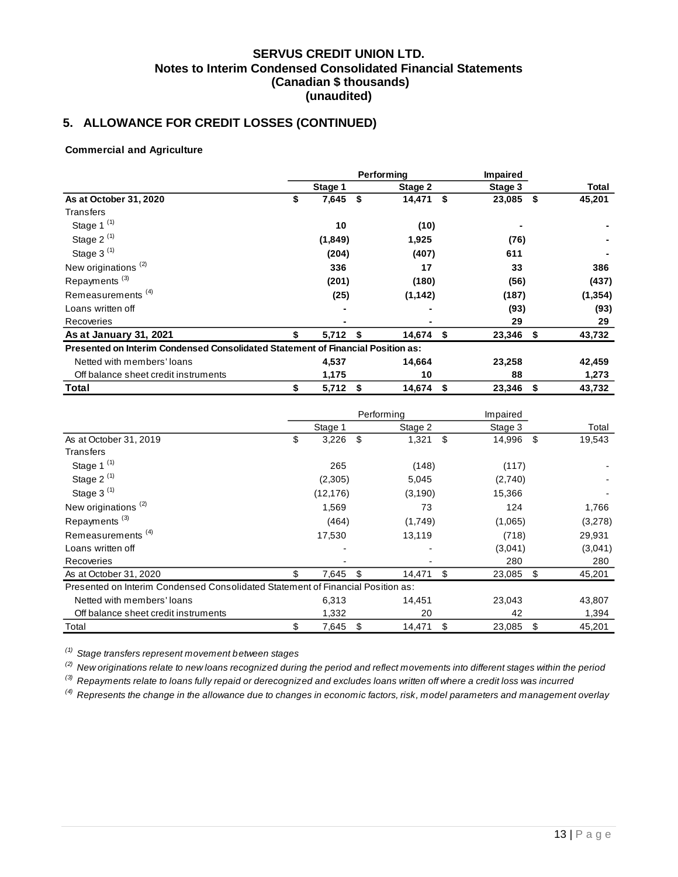# **5. ALLOWANCE FOR CREDIT LOSSES (CONTINUED)**

### **Commercial and Agriculture**

|                                                                                 | Performina |         |    |           |     | <b>Impaired</b> |      |          |
|---------------------------------------------------------------------------------|------------|---------|----|-----------|-----|-----------------|------|----------|
|                                                                                 |            | Stage 1 |    | Stage 2   |     | Stage 3         |      | Total    |
| As at October 31, 2020                                                          | \$         | 7,645   | \$ | 14,471    | -\$ | 23,085          | -\$  | 45,201   |
| Transfers                                                                       |            |         |    |           |     |                 |      |          |
| Stage 1 $(1)$                                                                   |            | 10      |    | (10)      |     |                 |      |          |
| Stage $2^{(1)}$                                                                 |            | (1,849) |    | 1,925     |     | (76)            |      |          |
| Stage 3 <sup>(1)</sup>                                                          |            | (204)   |    | (407)     |     | 611             |      |          |
| New originations <sup>(2)</sup>                                                 |            | 336     |    | 17        |     | 33              |      | 386      |
| Repayments <sup>(3)</sup>                                                       |            | (201)   |    | (180)     |     | (56)            |      | (437)    |
| Remeasurements <sup>(4)</sup>                                                   |            | (25)    |    | (1, 142)  |     | (187)           |      | (1, 354) |
| Loans written off                                                               |            |         |    |           |     | (93)            |      | (93)     |
| Recoveries                                                                      |            |         |    |           |     | 29              |      | 29       |
| As at January 31, 2021                                                          |            | 5,712   | -S | 14,674 \$ |     | 23,346          | - \$ | 43,732   |
| Presented on Interim Condensed Consolidated Statement of Financial Position as: |            |         |    |           |     |                 |      |          |
| Netted with members' loans                                                      |            | 4,537   |    | 14,664    |     | 23,258          |      | 42,459   |
| Off balance sheet credit instruments                                            |            | 1,175   |    | 10        |     | 88              |      | 1,273    |
| Total                                                                           | \$         | 5,712   | S  | 14,674    | \$  | 23,346          | \$   | 43,732   |

|                                                                                 |             | Performing   | Impaired     |              |
|---------------------------------------------------------------------------------|-------------|--------------|--------------|--------------|
|                                                                                 | Stage 1     | Stage 2      | Stage 3      | Total        |
| As at October 31, 2019                                                          | \$<br>3,226 | \$<br>1,321  | \$<br>14,996 | \$<br>19,543 |
| Transfers                                                                       |             |              |              |              |
| Stage 1 $(1)$                                                                   | 265         | (148)        | (117)        |              |
| Stage 2 $(1)$                                                                   | (2,305)     | 5,045        | (2,740)      |              |
| Stage 3 $(1)$                                                                   | (12, 176)   | (3,190)      | 15,366       |              |
| New originations <sup>(2)</sup>                                                 | 1,569       | 73           | 124          | 1,766        |
| Repayments <sup>(3)</sup>                                                       | (464)       | (1,749)      | (1,065)      | (3,278)      |
| Remeasurements <sup>(4)</sup>                                                   | 17,530      | 13,119       | (718)        | 29,931       |
| Loans written off                                                               |             |              | (3,041)      | (3,041)      |
| Recoveries                                                                      |             |              | 280          | 280          |
| As at October 31, 2020                                                          | \$<br>7,645 | \$<br>14,471 | \$<br>23,085 | \$<br>45,201 |
| Presented on Interim Condensed Consolidated Statement of Financial Position as: |             |              |              |              |
| Netted with members' loans                                                      | 6,313       | 14,451       | 23,043       | 43,807       |
| Off balance sheet credit instruments                                            | 1,332       | 20           | 42           | 1,394        |
| Total                                                                           | \$<br>7,645 | \$<br>14,471 | \$<br>23,085 | \$<br>45,201 |

*(1) Stage transfers represent movement between stages*

*(2) New originations relate to new loans recognized during the period and reflect movements into different stages within the period*

*(3) Repayments relate to loans fully repaid or derecognized and excludes loans written off where a credit loss was incurred*

*(4) Represents the change in the allowance due to changes in economic factors, risk, model parameters and management overlay*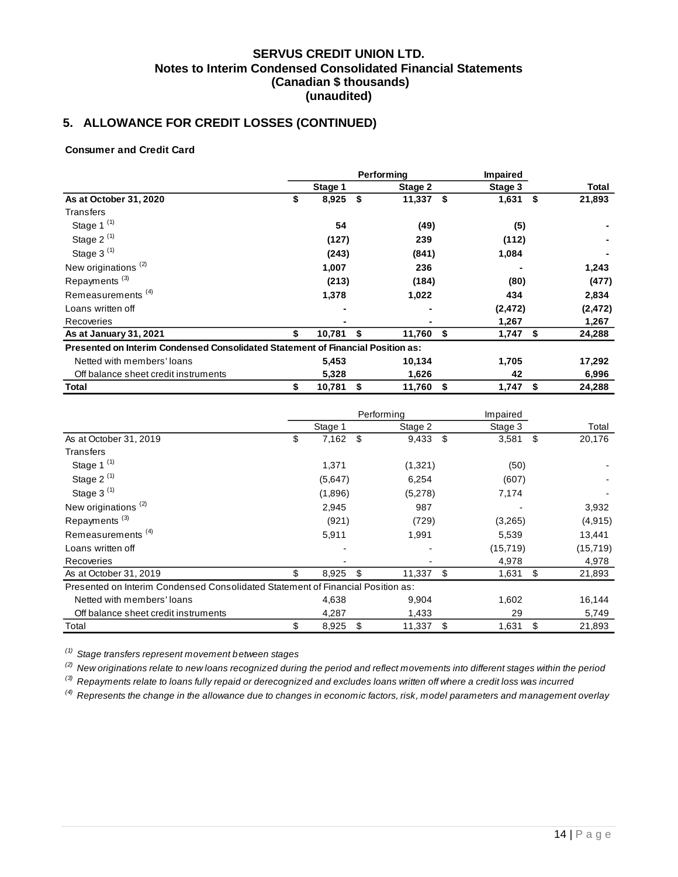# **5. ALLOWANCE FOR CREDIT LOSSES (CONTINUED)**

### **Consumer and Credit Card**

|                                                                                 | Performina |         |    |         |      | <b>Impaired</b> |    |          |
|---------------------------------------------------------------------------------|------------|---------|----|---------|------|-----------------|----|----------|
|                                                                                 |            | Stage 1 |    | Stage 2 |      | Stage 3         |    | Total    |
| As at October 31, 2020                                                          | \$         | 8,925   | \$ | 11,337  | - \$ | 1,631           | \$ | 21,893   |
| Transfers                                                                       |            |         |    |         |      |                 |    |          |
| Stage 1 <sup>(1)</sup>                                                          |            | 54      |    | (49)    |      | (5)             |    |          |
| Stage 2 $(1)$                                                                   |            | (127)   |    | 239     |      | (112)           |    |          |
| Stage 3 <sup>(1)</sup>                                                          |            | (243)   |    | (841)   |      | 1,084           |    |          |
| New originations <sup>(2)</sup>                                                 |            | 1,007   |    | 236     |      |                 |    | 1,243    |
| Repayments <sup>(3)</sup>                                                       |            | (213)   |    | (184)   |      | (80)            |    | (477)    |
| Remeasurements <sup>(4)</sup>                                                   |            | 1,378   |    | 1,022   |      | 434             |    | 2,834    |
| Loans written off                                                               |            |         |    |         |      | (2, 472)        |    | (2, 472) |
| Recoveries                                                                      |            |         |    |         |      | 1,267           |    | 1,267    |
| As at January 31, 2021                                                          |            | 10,781  |    | 11,760  | - \$ | 1,747           | S  | 24,288   |
| Presented on Interim Condensed Consolidated Statement of Financial Position as: |            |         |    |         |      |                 |    |          |
| Netted with members' loans                                                      |            | 5,453   |    | 10,134  |      | 1,705           |    | 17,292   |
| Off balance sheet credit instruments                                            |            | 5,328   |    | 1,626   |      | 42              |    | 6,996    |
| Total                                                                           | \$         | 10,781  | \$ | 11,760  | - \$ | 1,747           | \$ | 24,288   |

|                                                                                 |             | Performing   | Impaired    |              |
|---------------------------------------------------------------------------------|-------------|--------------|-------------|--------------|
|                                                                                 | Stage 1     | Stage 2      | Stage 3     | Total        |
| As at October 31, 2019                                                          | \$<br>7,162 | \$<br>9,433  | \$<br>3,581 | \$<br>20,176 |
| Transfers                                                                       |             |              |             |              |
| Stage 1 $(1)$                                                                   | 1,371       | (1,321)      | (50)        |              |
| Stage 2 $(1)$                                                                   | (5,647)     | 6,254        | (607)       |              |
| Stage 3 $(1)$                                                                   | (1,896)     | (5,278)      | 7,174       |              |
| New originations <sup>(2)</sup>                                                 | 2,945       | 987          |             | 3,932        |
| Repayments <sup>(3)</sup>                                                       | (921)       | (729)        | (3,265)     | (4, 915)     |
| Remeasurements <sup>(4)</sup>                                                   | 5,911       | 1,991        | 5,539       | 13,441       |
| Loans written off                                                               |             |              | (15, 719)   | (15, 719)    |
| Recoveries                                                                      |             |              | 4,978       | 4,978        |
| As at October 31, 2019                                                          | \$<br>8,925 | \$<br>11,337 | \$<br>1,631 | \$<br>21,893 |
| Presented on Interim Condensed Consolidated Statement of Financial Position as: |             |              |             |              |
| Netted with members' loans                                                      | 4,638       | 9,904        | 1,602       | 16,144       |
| Off balance sheet credit instruments                                            | 4,287       | 1,433        | 29          | 5,749        |
| Total                                                                           | \$<br>8,925 | \$<br>11,337 | \$<br>1,631 | \$<br>21,893 |

*(1) Stage transfers represent movement between stages*

*(2) New originations relate to new loans recognized during the period and reflect movements into different stages within the period*

*(3) Repayments relate to loans fully repaid or derecognized and excludes loans written off where a credit loss was incurred*

*(4) Represents the change in the allowance due to changes in economic factors, risk, model parameters and management overlay*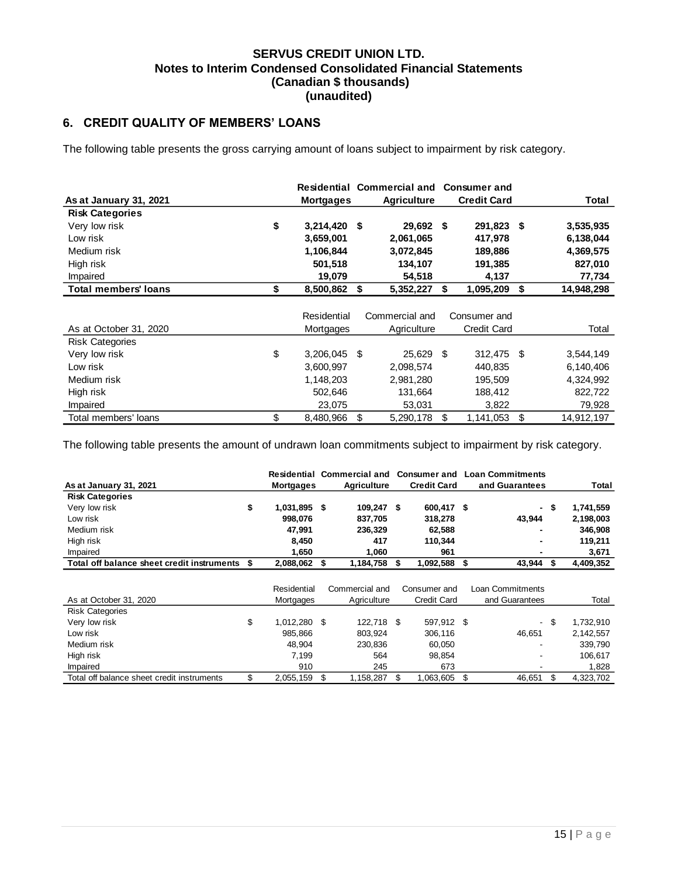## <span id="page-15-0"></span>**6. CREDIT QUALITY OF MEMBERS' LOANS**

The following table presents the gross carrying amount of loans subject to impairment by risk category.

|                             |                      |     | Residential Commercial and Consumer and |    |                    |                  |
|-----------------------------|----------------------|-----|-----------------------------------------|----|--------------------|------------------|
| As at January 31, 2021      | <b>Mortgages</b>     |     | <b>Agriculture</b>                      |    | <b>Credit Card</b> | Total            |
| <b>Risk Categories</b>      |                      |     |                                         |    |                    |                  |
| Very low risk               | \$<br>$3,214,420$ \$ |     | 29,692 \$                               |    | 291,823 \$         | 3,535,935        |
| Low risk                    | 3,659,001            |     | 2,061,065                               |    | 417,978            | 6,138,044        |
| Medium risk                 | 1,106,844            |     | 3,072,845                               |    | 189,886            | 4,369,575        |
| High risk                   | 501,518              |     | 134,107                                 |    | 191,385            | 827,010          |
| Impaired                    | 19,079               |     | 54,518                                  |    | 4,137              | 77,734           |
| <b>Total members' loans</b> | \$<br>8,500,862      | \$  | 5,352,227                               | Ŝ. | 1,095,209          | \$<br>14,948,298 |
|                             |                      |     |                                         |    |                    |                  |
|                             | Residential          |     | Commercial and                          |    | Consumer and       |                  |
| As at October 31, 2020      | Mortgages            |     | Agriculture                             |    | <b>Credit Card</b> | Total            |
| <b>Risk Categories</b>      |                      |     |                                         |    |                    |                  |
| Very low risk               | \$<br>3,206,045      | -\$ | 25,629 \$                               |    | 312,475 \$         | 3,544,149        |
| Low risk                    | 3,600,997            |     | 2,098,574                               |    | 440,835            | 6,140,406        |
| Medium risk                 | 1,148,203            |     | 2,981,280                               |    | 195,509            | 4,324,992        |
| High risk                   | 502,646              |     | 131,664                                 |    | 188,412            | 822,722          |
| Impaired                    | 23,075               |     | 53,031                                  |    | 3,822              | 79,928           |
| Total members' loans        | \$<br>8,480,966      | \$  | 5,290,178                               | \$ | 1,141,053          | \$<br>14,912,197 |

The following table presents the amount of undrawn loan commitments subject to impairment by risk category.

|                                            |    |                  | <b>Residential Commercial and</b> | <b>Consumer and</b> | <b>Loan Commitments</b> |      |           |
|--------------------------------------------|----|------------------|-----------------------------------|---------------------|-------------------------|------|-----------|
| As at January 31, 2021                     |    | <b>Mortgages</b> | <b>Agriculture</b>                | <b>Credit Card</b>  | and Guarantees          |      | Total     |
| <b>Risk Categories</b>                     |    |                  |                                   |                     |                         |      |           |
| Very low risk                              | \$ | 1,031,895 \$     | 109,247 \$                        | 600,417 \$          |                         | - \$ | 1,741,559 |
| Low risk                                   |    | 998,076          | 837,705                           | 318,278             | 43,944                  |      | 2,198,003 |
| Medium risk                                |    | 47,991           | 236,329                           | 62,588              |                         |      | 346,908   |
| High risk                                  |    | 8,450            | 417                               | 110,344             |                         |      | 119,211   |
| Impaired                                   |    | 1,650            | 1,060                             | 961                 |                         |      | 3,671     |
| Total off balance sheet credit instruments | S  | 2,088,062        | \$<br>1,184,758                   | \$<br>1,092,588     | \$<br>43,944            | \$   | 4,409,352 |
|                                            |    |                  |                                   |                     |                         |      |           |
|                                            |    | Residential      | Commercial and                    | Consumer and        | Loan Commitments        |      |           |
| As at October 31, 2020                     |    | Mortgages        | Agriculture                       | <b>Credit Card</b>  | and Guarantees          |      | Total     |
| <b>Risk Categories</b>                     |    |                  |                                   |                     |                         |      |           |
| Very low risk                              | \$ | 1,012,280 \$     | 122,718 \$                        | 597,912 \$          |                         | - \$ | 1,732,910 |
| Low risk                                   |    | 985,866          | 803,924                           | 306,116             | 46,651                  |      | 2,142,557 |
| Medium risk                                |    | 48,904           | 230,836                           | 60,050              |                         |      | 339,790   |
| High risk                                  |    | 7,199            | 564                               | 98,854              |                         |      | 106,617   |
| Impaired                                   |    | 910              | 245                               | 673                 |                         |      | 1,828     |
| Total off balance sheet credit instruments | \$ | 2,055,159        | \$<br>1,158,287                   | \$<br>1,063,605     | \$<br>46,651            | \$   | 4,323,702 |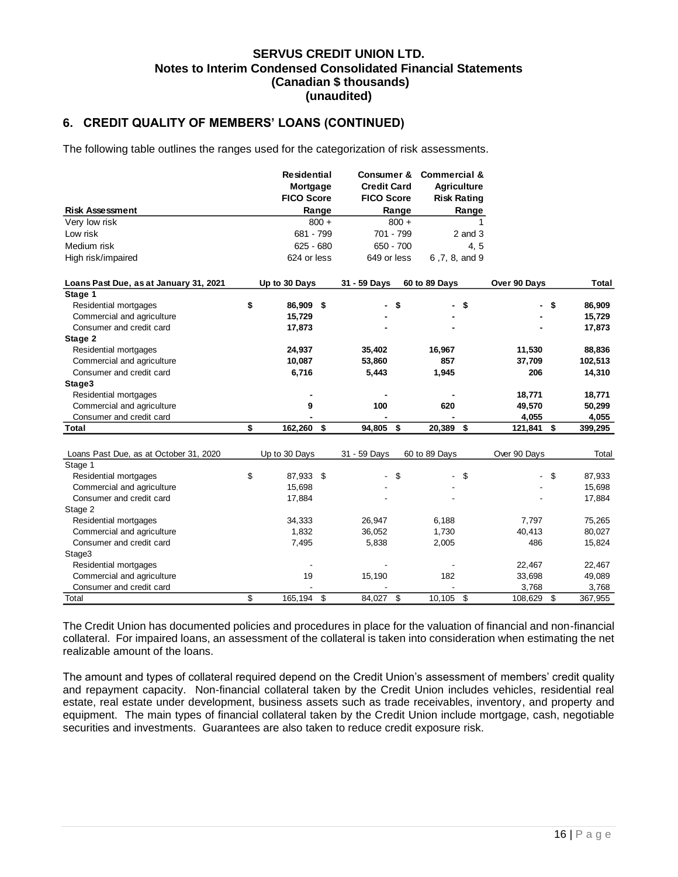## **6. CREDIT QUALITY OF MEMBERS' LOANS (CONTINUED)**

The following table outlines the ranges used for the categorization of risk assessments.

|                                        | <b>Residential</b> |         | Consumer &         |                | <b>Commercial &amp;</b> |                    |              |    |         |
|----------------------------------------|--------------------|---------|--------------------|----------------|-------------------------|--------------------|--------------|----|---------|
|                                        | Mortgage           |         | <b>Credit Card</b> |                | <b>Agriculture</b>      |                    |              |    |         |
|                                        | <b>FICO Score</b>  |         | <b>FICO Score</b>  |                |                         | <b>Risk Rating</b> |              |    |         |
| <b>Risk Assessment</b>                 |                    | Range   |                    | Range          |                         | Range              |              |    |         |
| Very low risk                          |                    | $800 +$ |                    | $800 +$        |                         | 1                  |              |    |         |
| Low risk                               | 681 - 799          |         |                    | 701 - 799      |                         | $2$ and $3$        |              |    |         |
| Medium risk                            | $625 - 680$        |         |                    | $650 - 700$    |                         | 4, 5               |              |    |         |
| High risk/impaired                     | 624 or less        |         | 649 or less        |                | 6,7,8, and 9            |                    |              |    |         |
| Loans Past Due, as at January 31, 2021 | Up to 30 Days      |         | 31 - 59 Days       |                | 60 to 89 Days           |                    | Over 90 Days |    | Total   |
| Stage 1                                |                    |         |                    |                |                         |                    |              |    |         |
| Residential mortgages                  | \$<br>86,909 \$    |         |                    | \$             |                         | \$                 |              | \$ | 86,909  |
| Commercial and agriculture             | 15,729             |         |                    |                |                         |                    |              |    | 15,729  |
| Consumer and credit card               | 17,873             |         |                    |                |                         |                    |              |    | 17,873  |
| Stage 2                                |                    |         |                    |                |                         |                    |              |    |         |
| Residential mortgages                  | 24,937             |         | 35,402             |                | 16,967                  |                    | 11,530       |    | 88,836  |
| Commercial and agriculture             | 10,087             |         | 53,860             |                | 857                     |                    | 37,709       |    | 102,513 |
| Consumer and credit card               | 6,716              |         | 5,443              |                | 1,945                   |                    | 206          |    | 14,310  |
| Stage3                                 |                    |         |                    |                |                         |                    |              |    |         |
| Residential mortgages                  |                    |         |                    |                |                         |                    | 18,771       |    | 18,771  |
| Commercial and agriculture             | 9                  |         | 100                |                | 620                     |                    | 49,570       |    | 50,299  |
| Consumer and credit card               |                    |         |                    |                |                         |                    | 4,055        |    | 4,055   |
| Total                                  | \$<br>162,260      | \$      | 94,805             | \$             | 20,389                  | \$                 | 121,841      | S  | 399,295 |
|                                        |                    |         |                    |                |                         |                    |              |    |         |
| Loans Past Due, as at October 31, 2020 | Up to 30 Days      |         | 31 - 59 Days       |                | 60 to 89 Days           |                    | Over 90 Days |    | Total   |
| Stage 1                                |                    |         |                    |                |                         |                    |              |    |         |
| Residential mortgages                  | \$<br>87,933       | \$      |                    | \$             |                         | \$                 |              | \$ | 87,933  |
| Commercial and agriculture             | 15,698             |         |                    |                |                         |                    |              |    | 15,698  |
| Consumer and credit card               | 17,884             |         |                    |                |                         |                    |              |    | 17,884  |
| Stage 2                                |                    |         |                    |                |                         |                    |              |    |         |
| Residential mortgages                  | 34,333             |         | 26,947             |                | 6,188                   |                    | 7,797        |    | 75,265  |
| Commercial and agriculture             | 1,832              |         | 36,052             |                | 1,730                   |                    | 40,413       |    | 80,027  |
| Consumer and credit card               | 7,495              |         | 5,838              |                | 2,005                   |                    | 486          |    | 15,824  |
| Stage3                                 |                    |         |                    |                |                         |                    |              |    |         |
| Residential mortgages                  |                    |         |                    |                |                         |                    | 22,467       |    | 22,467  |
| Commercial and agriculture             | 19                 |         | 15,190             |                | 182                     |                    | 33,698       |    | 49,089  |
| Consumer and credit card               |                    |         |                    |                |                         |                    | 3,768        |    | 3,768   |
| Total                                  | \$<br>165,194      | \$      | 84,027             | $\mathfrak{S}$ | 10,105                  | \$                 | 108,629      | \$ | 367,955 |

The Credit Union has documented policies and procedures in place for the valuation of financial and non-financial collateral. For impaired loans, an assessment of the collateral is taken into consideration when estimating the net realizable amount of the loans.

The amount and types of collateral required depend on the Credit Union's assessment of members' credit quality and repayment capacity. Non-financial collateral taken by the Credit Union includes vehicles, residential real estate, real estate under development, business assets such as trade receivables, inventory, and property and equipment. The main types of financial collateral taken by the Credit Union include mortgage, cash, negotiable securities and investments. Guarantees are also taken to reduce credit exposure risk.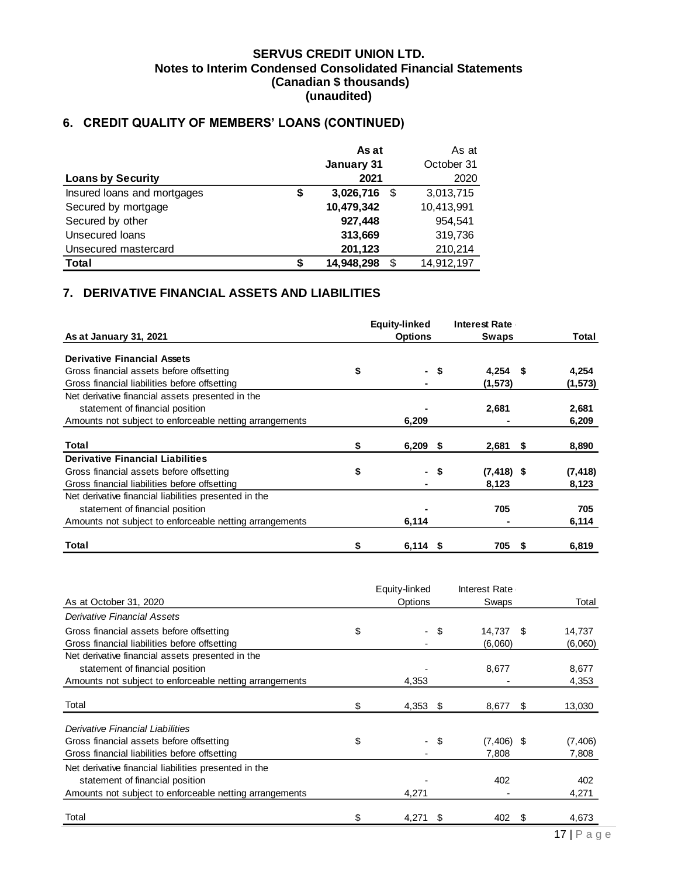# **6. CREDIT QUALITY OF MEMBERS' LOANS (CONTINUED)**

|                             |    | As at      |    | As at      |
|-----------------------------|----|------------|----|------------|
|                             |    | January 31 |    | October 31 |
| <b>Loans by Security</b>    |    | 2021       |    | 2020       |
| Insured loans and mortgages | \$ | 3,026,716  | \$ | 3,013,715  |
| Secured by mortgage         |    | 10,479,342 |    | 10,413,991 |
| Secured by other            |    | 927,448    |    | 954.541    |
| Unsecured loans             |    | 313,669    |    | 319,736    |
| Unsecured mastercard        |    | 201,123    |    | 210,214    |
| <b>Total</b>                | S  | 14,948,298 | £. | 14,912,197 |

# <span id="page-17-0"></span>**7. DERIVATIVE FINANCIAL ASSETS AND LIABILITIES**

|                                                         |    | <b>Equity-linked</b> |      | <b>Interest Rate</b> |   |          |
|---------------------------------------------------------|----|----------------------|------|----------------------|---|----------|
| As at January 31, 2021                                  |    | <b>Options</b>       |      | <b>Swaps</b>         |   | Total    |
| <b>Derivative Financial Assets</b>                      |    |                      |      |                      |   |          |
| Gross financial assets before offsetting                | \$ |                      | - \$ | $4,254$ \$           |   | 4,254    |
| Gross financial liabilities before offsetting           |    |                      |      | (1,573)              |   | (1, 573) |
| Net derivative financial assets presented in the        |    |                      |      |                      |   |          |
| statement of financial position                         |    |                      |      | 2,681                |   | 2,681    |
| Amounts not subject to enforceable netting arrangements |    | 6,209                |      |                      |   | 6,209    |
|                                                         |    |                      |      |                      |   |          |
| Total                                                   | \$ | $6,209$ \$           |      | $2,681$ \$           |   | 8,890    |
| <b>Derivative Financial Liabilities</b>                 |    |                      |      |                      |   |          |
| Gross financial assets before offsetting                | \$ |                      | - \$ | $(7, 418)$ \$        |   | (7, 418) |
| Gross financial liabilities before offsetting           |    |                      |      | 8,123                |   | 8,123    |
| Net derivative financial liabilities presented in the   |    |                      |      |                      |   |          |
| statement of financial position                         |    |                      |      | 705                  |   | 705      |
| Amounts not subject to enforceable netting arrangements |    | 6,114                |      |                      |   | 6,114    |
| Total                                                   | S  | $6,114$ \$           |      | 705                  | S | 6,819    |

|                                                         | Equity-linked    |      | Interest Rate |    |          |
|---------------------------------------------------------|------------------|------|---------------|----|----------|
| As at October 31, 2020                                  | Options          |      | Swaps         |    | Total    |
| Derivative Financial Assets                             |                  |      |               |    |          |
| Gross financial assets before offsetting                | \$<br>$\sim$     | \$   | 14,737        | -S | 14,737   |
| Gross financial liabilities before offsetting           |                  |      | (6,060)       |    | (6,060)  |
| Net derivative financial assets presented in the        |                  |      |               |    |          |
| statement of financial position                         |                  |      | 8,677         |    | 8,677    |
| Amounts not subject to enforceable netting arrangements | 4,353            |      |               |    | 4,353    |
|                                                         |                  |      |               |    |          |
| Total                                                   | \$<br>$4,353$ \$ |      | 8,677         | S  | 13,030   |
| Derivative Financial Liabilities                        |                  |      |               |    |          |
| Gross financial assets before offsetting                | \$               | - \$ | $(7,406)$ \$  |    | (7, 406) |
| Gross financial liabilities before offsetting           |                  |      | 7,808         |    | 7,808    |
| Net derivative financial liabilities presented in the   |                  |      |               |    |          |
| statement of financial position                         |                  |      | 402           |    | 402      |
| Amounts not subject to enforceable netting arrangements | 4,271            |      |               |    | 4,271    |
| Total                                                   | 4,271            | S    | 402           | S  | 4,673    |
|                                                         |                  |      |               |    |          |

**Burning Communication**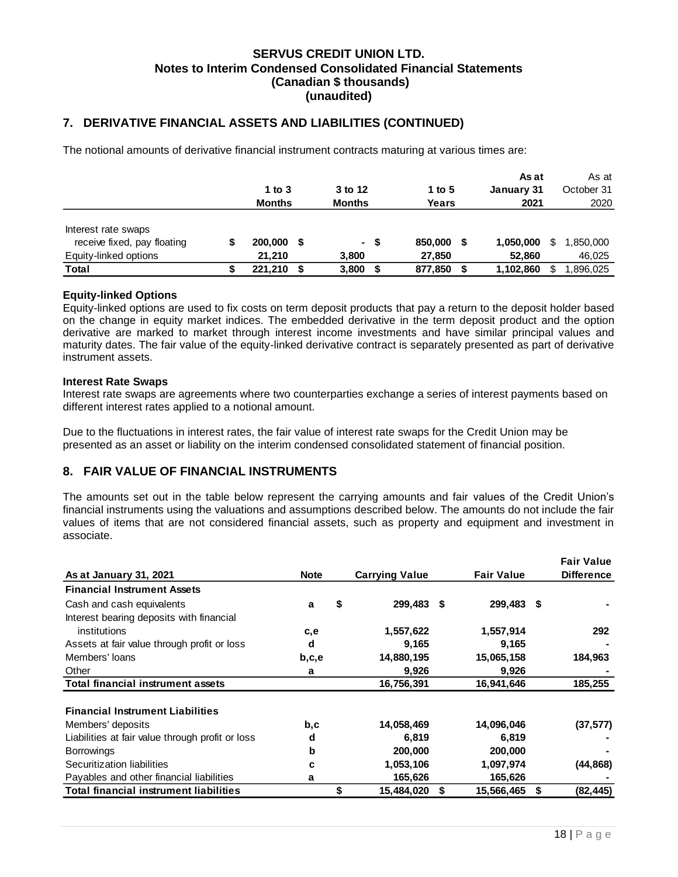### **7. DERIVATIVE FINANCIAL ASSETS AND LIABILITIES (CONTINUED)**

The notional amounts of derivative financial instrument contracts maturing at various times are:

|                             |               |   |               |      |         |   | As at      |   | As at      |  |
|-----------------------------|---------------|---|---------------|------|---------|---|------------|---|------------|--|
|                             | 1 to $3$      |   | 3 to 12       |      | 1 to 5  |   | January 31 |   | October 31 |  |
|                             | <b>Months</b> |   | <b>Months</b> |      | Years   |   | 2021       |   | 2020       |  |
|                             |               |   |               |      |         |   |            |   |            |  |
| Interest rate swaps         |               |   |               |      |         |   |            |   |            |  |
| receive fixed, pay floating | 200,000       | S |               | - \$ | 850,000 | S | 1,050,000  | S | 1,850,000  |  |
| Equity-linked options       | 21.210        |   | 3.800         |      | 27,850  |   | 52,860     |   | 46,025     |  |
| Total                       | 221.210       | S | 3,800         |      | 877,850 |   | 1,102,860  | S | .896.025   |  |

### **Equity-linked Options**

Equity-linked options are used to fix costs on term deposit products that pay a return to the deposit holder based on the change in equity market indices. The embedded derivative in the term deposit product and the option derivative are marked to market through interest income investments and have similar principal values and maturity dates. The fair value of the equity-linked derivative contract is separately presented as part of derivative instrument assets.

### **Interest Rate Swaps**

Interest rate swaps are agreements where two counterparties exchange a series of interest payments based on different interest rates applied to a notional amount.

Due to the fluctuations in interest rates, the fair value of interest rate swaps for the Credit Union may be presented as an asset or liability on the interim condensed consolidated statement of financial position.

### <span id="page-18-0"></span>**8. FAIR VALUE OF FINANCIAL INSTRUMENTS**

The amounts set out in the table below represent the carrying amounts and fair values of the Credit Union's financial instruments using the valuations and assumptions described below. The amounts do not include the fair values of items that are not considered financial assets, such as property and equipment and investment in associate.

|                                                  |             |    |                       |                   |                   | <b>Fair Value</b> |
|--------------------------------------------------|-------------|----|-----------------------|-------------------|-------------------|-------------------|
| As at January 31, 2021                           | <b>Note</b> |    | <b>Carrying Value</b> | <b>Fair Value</b> | <b>Difference</b> |                   |
| <b>Financial Instrument Assets</b>               |             |    |                       |                   |                   |                   |
| Cash and cash equivalents                        | a           | \$ | 299,483               | S                 | 299,483 \$        |                   |
| Interest bearing deposits with financial         |             |    |                       |                   |                   |                   |
| institutions                                     | c,e         |    | 1,557,622             |                   | 1,557,914         | 292               |
| Assets at fair value through profit or loss      | d           |    | 9,165                 |                   | 9,165             |                   |
| Members' loans                                   | b,c,e       |    | 14,880,195            |                   | 15,065,158        | 184,963           |
| Other                                            | a           |    | 9,926                 |                   | 9,926             |                   |
| <b>Total financial instrument assets</b>         |             |    | 16,756,391            |                   | 16,941,646        | 185,255           |
| <b>Financial Instrument Liabilities</b>          |             |    |                       |                   |                   |                   |
| Members' deposits                                | b,c         |    | 14,058,469            |                   | 14,096,046        | (37, 577)         |
| Liabilities at fair value through profit or loss | d           |    | 6,819                 |                   | 6,819             |                   |
| <b>Borrowings</b>                                | b           |    | 200,000               |                   | 200,000           |                   |
| Securitization liabilities                       | c           |    | 1,053,106             |                   | 1,097,974         | (44, 868)         |
| Payables and other financial liabilities         | a           |    | 165,626               |                   | 165,626           |                   |
| <b>Total financial instrument liabilities</b>    |             | \$ | 15,484,020            | \$                | 15,566,465        | \$<br>(82, 445)   |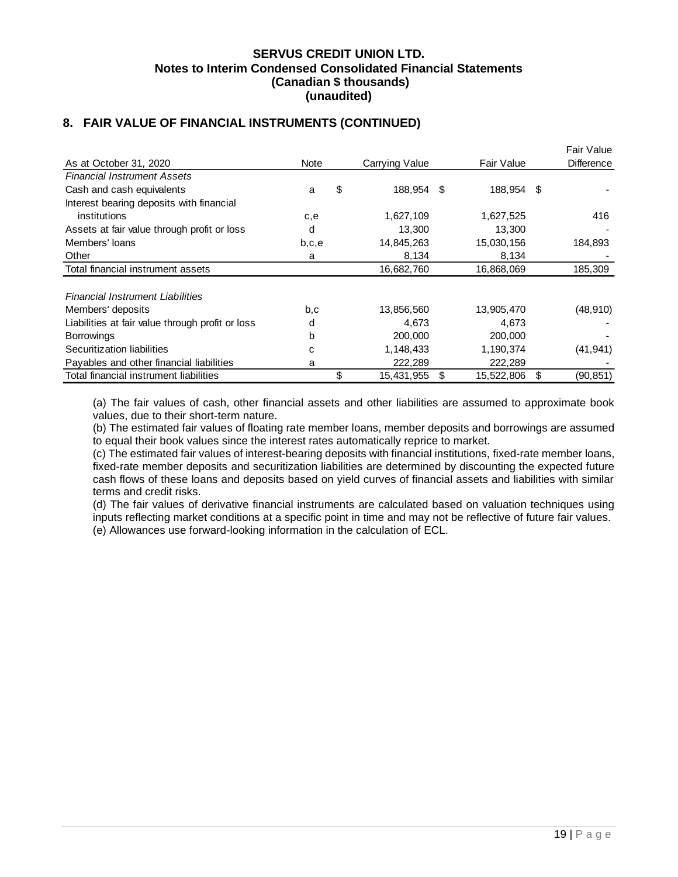# **8. FAIR VALUE OF FINANCIAL INSTRUMENTS (CONTINUED)**

|                                                  |       |                  |      |            |   | Fair Value        |
|--------------------------------------------------|-------|------------------|------|------------|---|-------------------|
| As at October 31, 2020                           | Note  | Carrying Value   |      | Fair Value |   | <b>Difference</b> |
| <b>Financial Instrument Assets</b>               |       |                  |      |            |   |                   |
| Cash and cash equivalents                        | a     | \$<br>188,954    | - \$ | 188,954 \$ |   |                   |
| Interest bearing deposits with financial         |       |                  |      |            |   |                   |
| institutions                                     | c,e   | 1,627,109        |      | 1,627,525  |   | 416               |
| Assets at fair value through profit or loss      | d     | 13,300           |      | 13,300     |   |                   |
| Members' loans                                   | b,c,e | 14,845,263       |      | 15,030,156 |   | 184,893           |
| Other                                            | a     | 8,134            |      | 8,134      |   |                   |
| Total financial instrument assets                |       | 16,682,760       |      | 16,868,069 |   | 185,309           |
|                                                  |       |                  |      |            |   |                   |
| <b>Financial Instrument Liabilities</b>          |       |                  |      |            |   |                   |
| Members' deposits                                | b,c   | 13,856,560       |      | 13,905,470 |   | (48, 910)         |
| Liabilities at fair value through profit or loss | d     | 4,673            |      | 4,673      |   |                   |
| <b>Borrowings</b>                                | b     | 200,000          |      | 200,000    |   |                   |
| Securitization liabilities                       | C     | 1,148,433        |      | 1,190,374  |   | (41, 941)         |
| Payables and other financial liabilities         | a     | 222,289          |      | 222,289    |   |                   |
| Total financial instrument liabilities           |       | \$<br>15,431,955 | S    | 15,522,806 | S | (90, 851)         |

(a) The fair values of cash, other financial assets and other liabilities are assumed to approximate book values, due to their short-term nature.

(b) The estimated fair values of floating rate member loans, member deposits and borrowings are assumed to equal their book values since the interest rates automatically reprice to market.

(c) The estimated fair values of interest-bearing deposits with financial institutions, fixed-rate member loans, fixed-rate member deposits and securitization liabilities are determined by discounting the expected future cash flows of these loans and deposits based on yield curves of financial assets and liabilities with similar terms and credit risks.

(d) The fair values of derivative financial instruments are calculated based on valuation techniques using inputs reflecting market conditions at a specific point in time and may not be reflective of future fair values. (e) Allowances use forward-looking information in the calculation of ECL.